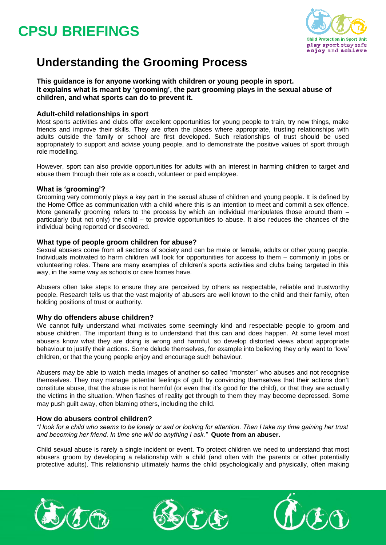

## **Understanding the Grooming Process**

#### **This guidance is for anyone working with children or young people in sport. It explains what is meant by 'grooming', the part grooming plays in the sexual abuse of children, and what sports can do to prevent it.**

#### **Adult-child relationships in sport**

Most sports activities and clubs offer excellent opportunities for young people to train, try new things, make friends and improve their skills. They are often the places where appropriate, trusting relationships with adults outside the family or school are first developed. Such relationships of trust should be used appropriately to support and advise young people, and to demonstrate the positive values of sport through role modelling.

However, sport can also provide opportunities for adults with an interest in harming children to target and abuse them through their role as a coach, volunteer or paid employee.

#### **What is 'grooming'?**

Grooming very commonly plays a key part in the sexual abuse of children and young people. It is defined by the Home Office as communication with a child where this is an intention to meet and commit a sex offence. More generally grooming refers to the process by which an individual manipulates those around them – particularly (but not only) the child – to provide opportunities to abuse. It also reduces the chances of the individual being reported or discovered.

#### **What type of people groom children for abuse?**

Sexual abusers come from all sections of society and can be male or female, adults or other young people. Individuals motivated to harm children will look for opportunities for access to them – commonly in jobs or volunteering roles. There are many examples of children's sports activities and clubs being targeted in this way, in the same way as schools or care homes have.

Abusers often take steps to ensure they are perceived by others as respectable, reliable and trustworthy people. Research tells us that the vast majority of abusers are well known to the child and their family, often holding positions of trust or authority.

#### **Why do offenders abuse children?**

We cannot fully understand what motivates some seemingly kind and respectable people to groom and abuse children. The important thing is to understand that this can and does happen. At some level most abusers know what they are doing is wrong and harmful, so develop distorted views about appropriate behaviour to justify their actions. Some delude themselves, for example into believing they only want to 'love' children, or that the young people enjoy and encourage such behaviour.

Abusers may be able to watch media images of another so called "monster" who abuses and not recognise themselves. They may manage potential feelings of guilt by convincing themselves that their actions don't constitute abuse, that the abuse is not harmful (or even that it's good for the child), or that they are actually the victims in the situation. When flashes of reality get through to them they may become depressed. Some may push guilt away, often blaming others, including the child.

#### **How do abusers control children?**

*"I look for a child who seems to be lonely or sad or looking for attention. Then I take my time gaining her trust and becoming her friend. In time she will do anything I ask."* **Quote from an abuser.**

Child sexual abuse is rarely a single incident or event. To protect children we need to understand that most abusers groom by developing a relationship with a child (and often with the parents or other potentially protective adults). This relationship ultimately harms the child psychologically and physically, often making





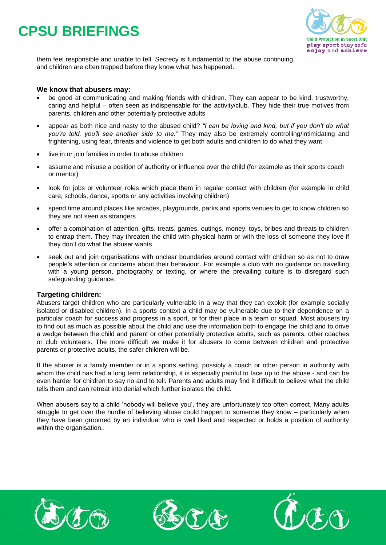

them feel responsible and unable to tell. Secrecy is fundamental to the abuse continuing and children are often trapped before they know what has happened.

#### **We know that abusers may:**

- be good at communicating and making friends with children. They can appear to be kind, trustworthy, caring and helpful – often seen as indispensable for the activity/club. They hide their true motives from parents, children and other potentially protective adults
- appear as both nice and nasty to the abused child? *"I can be loving and kind, but if you don't do what you're told, you'll see another side to me."* They may also be extremely controlling/intimidating and frightening, using fear, threats and violence to get both adults and children to do what they want
- live in or join families in order to abuse children
- assume and misuse a position of authority or influence over the child (for example as their sports coach or mentor)
- look for jobs or volunteer roles which place them in regular contact with children (for example in child care, schools, dance, sports or any activities involving children)
- spend time around places like arcades, playgrounds, parks and sports venues to get to know children so they are not seen as strangers
- offer a combination of attention, gifts, treats, games, outings, money, toys, bribes and threats to children to entrap them. They may threaten the child with physical harm or with the loss of someone they love if they don't do what the abuser wants
- seek out and join organisations with unclear boundaries around contact with children so as not to draw people's attention or concerns about their behaviour. For example a club with no guidance on travelling with a young person, photography or texting, or where the prevailing culture is to disregard such safeguarding guidance.

#### **Targeting children:**

Abusers target children who are particularly vulnerable in a way that they can exploit (for example socially isolated or disabled children). In a sports context a child may be vulnerable due to their dependence on a particular coach for success and progress in a sport, or for their place in a team or squad. Most abusers try to find out as much as possible about the child and use the information both to engage the child and to drive a wedge between the child and parent or other potentially protective adults, such as parents, other coaches or club volunteers. The more difficult we make it for abusers to come between children and protective parents or protective adults, the safer children will be.

If the abuser is a family member or in a sports setting, possibly a coach or other person in authority with whom the child has had a long term relationship, it is especially painful to face up to the abuse - and can be even harder for children to say no and to tell. Parents and adults may find it difficult to believe what the child tells them and can retreat into denial which further isolates the child.

When abusers say to a child 'nobody will believe you', they are unfortunately too often correct. Many adults struggle to get over the hurdle of believing abuse could happen to someone they know – particularly when they have been groomed by an individual who is well liked and respected or holds a position of authority within the organisation..





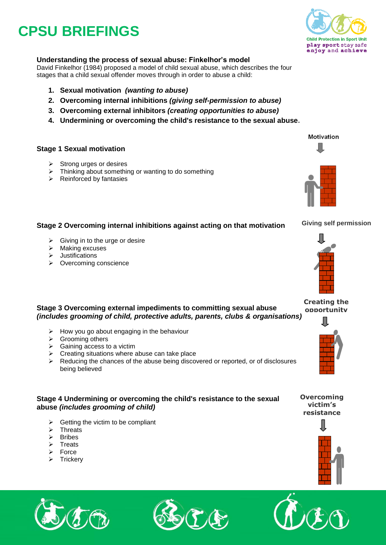## **Child Protection in Sport Unit** play sport stay safe enjoy and achieve

### **Understanding the process of sexual abuse: Finkelhor's model**

David Finkelhor (1984) proposed a model of child sexual abuse, which describes the four stages that a child sexual offender moves through in order to abuse a child:

- **1. Sexual motivation** *(wanting to abuse)*
- **2. Overcoming internal inhibitions** *(giving self-permission to abuse)*
- **3. Overcoming external inhibitors** *(creating opportunities to abuse)*
- **4. Undermining or overcoming the child's resistance to the sexual abuse.**

### **Stage 1 Sexual motivation**

- $\triangleright$  Strong urges or desires
- $\triangleright$  Thinking about something or wanting to do something
- $\triangleright$  Reinforced by fantasies

### **Stage 2 Overcoming internal inhibitions against acting on that motivation**

- $\triangleright$  Giving in to the urge or desire
- $\triangleright$  Making excuses
- $\triangleright$  Justifications
- $\triangleright$  Overcoming conscience

#### **Creating the opportunity**

#### **Stage 3 Overcoming external impediments to committing sexual abuse**  *(includes grooming of child, protective adults, parents, clubs & organisations)*

- $\triangleright$  How you go about engaging in the behaviour
- **▶** Grooming others
- $\triangleright$  Gaining access to a victim
- $\triangleright$  Creating situations where abuse can take place
- $\triangleright$  Reducing the chances of the abuse being discovered or reported, or of disclosures being believed

### **Stage 4 Undermining or overcoming the child's resistance to the sexual abuse** *(includes grooming of child)*

- $\triangleright$  Getting the victim to be compliant
- $\triangleright$  Threats
- $\triangleright$  Bribes
- $\triangleright$  Treats
- $\triangleright$  Force
- $\triangleright$  Trickery









**Giving self permission**



**Overcoming victim's resistance**





Motivation